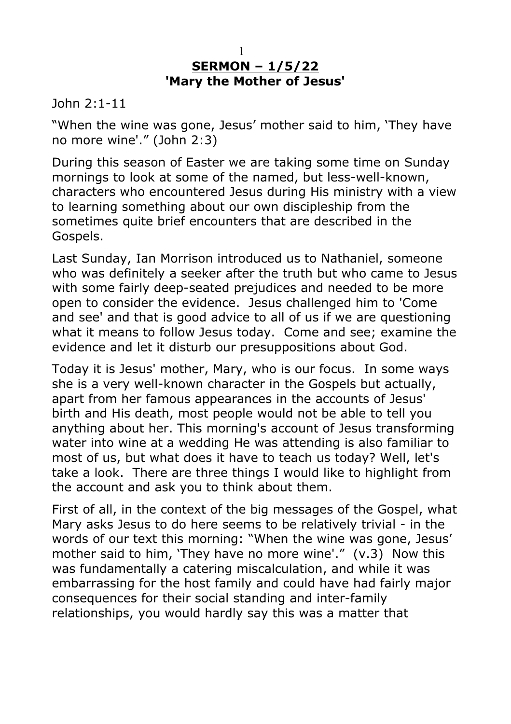## **SERMON – 1/5/22 'Mary the Mother of Jesus'** 1

John 2:1-11

"When the wine was gone, Jesus' mother said to him, 'They have no more wine'." (John 2:3)

During this season of Easter we are taking some time on Sunday mornings to look at some of the named, but less-well-known, characters who encountered Jesus during His ministry with a view to learning something about our own discipleship from the sometimes quite brief encounters that are described in the Gospels.

Last Sunday, Ian Morrison introduced us to Nathaniel, someone who was definitely a seeker after the truth but who came to Jesus with some fairly deep-seated prejudices and needed to be more open to consider the evidence. Jesus challenged him to 'Come and see' and that is good advice to all of us if we are questioning what it means to follow Jesus today. Come and see; examine the evidence and let it disturb our presuppositions about God.

Today it is Jesus' mother, Mary, who is our focus. In some ways she is a very well-known character in the Gospels but actually, apart from her famous appearances in the accounts of Jesus' birth and His death, most people would not be able to tell you anything about her. This morning's account of Jesus transforming water into wine at a wedding He was attending is also familiar to most of us, but what does it have to teach us today? Well, let's take a look. There are three things I would like to highlight from the account and ask you to think about them.

First of all, in the context of the big messages of the Gospel, what Mary asks Jesus to do here seems to be relatively trivial - in the words of our text this morning: "When the wine was gone, Jesus' mother said to him, 'They have no more wine'." (v.3) Now this was fundamentally a catering miscalculation, and while it was embarrassing for the host family and could have had fairly major consequences for their social standing and inter-family relationships, you would hardly say this was a matter that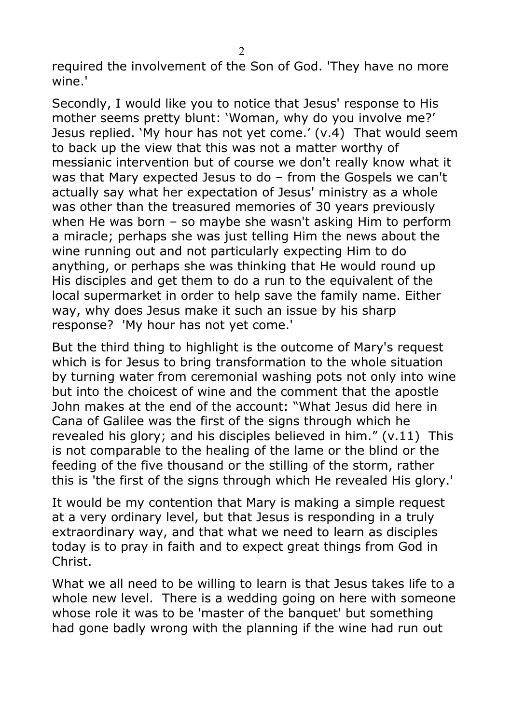required the involvement of the Son of God. 'They have no more wine.'

Secondly, I would like you to notice that Jesus' response to His mother seems pretty blunt: 'Woman, why do you involve me?' Jesus replied. 'My hour has not yet come.' (v.4) That would seem to back up the view that this was not a matter worthy of messianic intervention but of course we don't really know what it was that Mary expected Jesus to do – from the Gospels we can't actually say what her expectation of Jesus' ministry as a whole was other than the treasured memories of 30 years previously when He was born – so maybe she wasn't asking Him to perform a miracle; perhaps she was just telling Him the news about the wine running out and not particularly expecting Him to do anything, or perhaps she was thinking that He would round up His disciples and get them to do a run to the equivalent of the local supermarket in order to help save the family name. Either way, why does Jesus make it such an issue by his sharp response? 'My hour has not yet come.'

But the third thing to highlight is the outcome of Mary's request which is for Jesus to bring transformation to the whole situation by turning water from ceremonial washing pots not only into wine but into the choicest of wine and the comment that the apostle John makes at the end of the account: "What Jesus did here in Cana of Galilee was the first of the signs through which he revealed his glory; and his disciples believed in him." (v.11) This is not comparable to the healing of the lame or the blind or the feeding of the five thousand or the stilling of the storm, rather this is 'the first of the signs through which He revealed His glory.'

It would be my contention that Mary is making a simple request at a very ordinary level, but that Jesus is responding in a truly extraordinary way, and that what we need to learn as disciples today is to pray in faith and to expect great things from God in Christ.

What we all need to be willing to learn is that Jesus takes life to a whole new level. There is a wedding going on here with someone whose role it was to be 'master of the banquet' but something had gone badly wrong with the planning if the wine had run out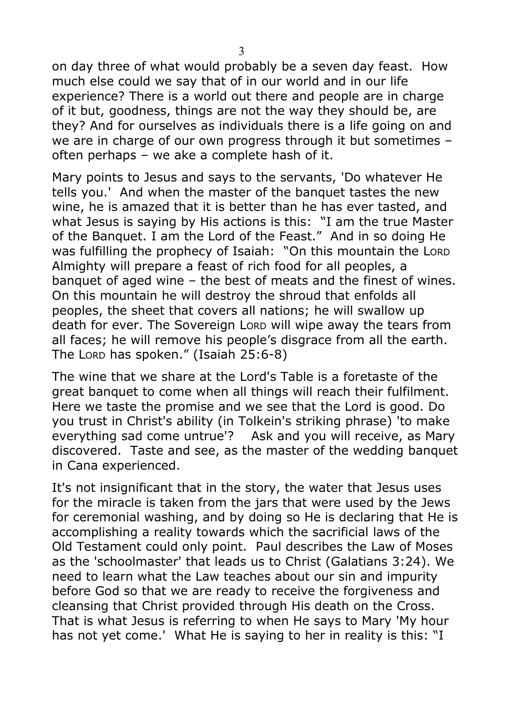on day three of what would probably be a seven day feast. How much else could we say that of in our world and in our life experience? There is a world out there and people are in charge of it but, goodness, things are not the way they should be, are they? And for ourselves as individuals there is a life going on and we are in charge of our own progress through it but sometimes – often perhaps – we ake a complete hash of it.

Mary points to Jesus and says to the servants, 'Do whatever He tells you.' And when the master of the banquet tastes the new wine, he is amazed that it is better than he has ever tasted, and what Jesus is saying by His actions is this: "I am the true Master of the Banquet. I am the Lord of the Feast." And in so doing He was fulfilling the prophecy of Isaiah: "On this mountain the LORD Almighty will prepare a feast of rich food for all peoples, a banquet of aged wine – the best of meats and the finest of wines. On this mountain he will destroy the shroud that enfolds all peoples, the sheet that covers all nations; he will swallow up death for ever. The Sovereign LORD will wipe away the tears from all faces; he will remove his people's disgrace from all the earth. The LORD has spoken." (Isaiah 25:6-8)

The wine that we share at the Lord's Table is a foretaste of the great banquet to come when all things will reach their fulfilment. Here we taste the promise and we see that the Lord is good. Do you trust in Christ's ability (in Tolkein's striking phrase) 'to make everything sad come untrue'? Ask and you will receive, as Mary discovered. Taste and see, as the master of the wedding banquet in Cana experienced.

It's not insignificant that in the story, the water that Jesus uses for the miracle is taken from the jars that were used by the Jews for ceremonial washing, and by doing so He is declaring that He is accomplishing a reality towards which the sacrificial laws of the Old Testament could only point. Paul describes the Law of Moses as the 'schoolmaster' that leads us to Christ (Galatians 3:24). We need to learn what the Law teaches about our sin and impurity before God so that we are ready to receive the forgiveness and cleansing that Christ provided through His death on the Cross. That is what Jesus is referring to when He says to Mary 'My hour has not yet come.' What He is saying to her in reality is this: "I